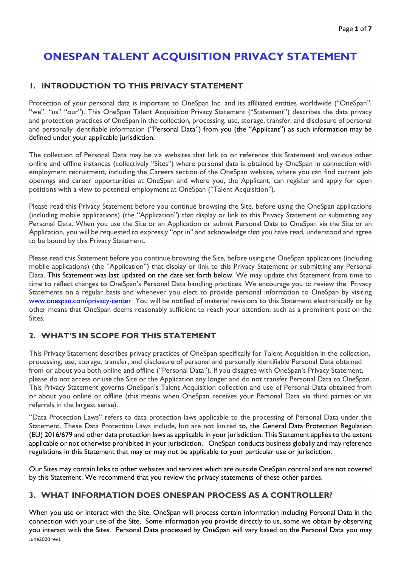# **ONESPAN TALENT ACQUISITION PRIVACY STATEMENT**

# **1. INTRODUCTION TO THIS PRIVACY STATEMENT**

Protection of your personal data is important to OneSpan Inc. and its affiliated entities worldwide ("OneSpan", "we", "us" "our"). This OneSpan Talent Acquisition Privacy Statement ("Statement") describes the data privacy and protection practices of OneSpan in the collection, processing, use, storage, transfer, and disclosure of personal and personally identifiable information ("Personal Data") from you (the "Applicant") as such information may be defined under your applicable jurisdiction.

The collection of Personal Data may be via websites that link to or reference this Statement and various other online and offline instances (collectively "Sites") where personal data is obtained by OneSpan in connection with employment recruitment, including the Careers section of the OneSpan website, where you can find current job openings and career opportunities at OneSpan and where you, the Applicant, can register and apply for open positions with a view to potential employment at OneSpan ("Talent Acquisition").

Please read this Privacy Statement before you continue browsing the Site, before using the OneSpan applications (including mobile applications) (the "Application") that display or link to this Privacy Statement or submitting any Personal Data. When you use the Site or an Application or submit Personal Data to OneSpan via the Site or an Application, you will be requested to expressly "opt in" and acknowledge that you have read, understood and agree to be bound by this Privacy Statement.

Please read this Statement before you continue browsing the Site, before using the OneSpan applications (including mobile applications) (the "Application") that display or link to this Privacy Statement or submitting any Personal Data. This Statement was last updated on the date set forth below. We may update this Statement from time to time to reflect changes to OneSpan's Personal Data handling practices. We encourage you to review the Privacy Statements on a regular basis and whenever you elect to provide personal information to OneSpan by visiting [www.onespan.com\privacy-center](http://www.onespan.com/privacy-center) You will be notified of material revisions to this Statement electronically or by other means that OneSpan deems reasonably sufficient to reach your attention, such as a prominent post on the Sites.

# **2. WHAT'S IN SCOPE FOR THIS STATEMENT**

This Privacy Statement describes privacy practices of OneSpan specifically for Talent Acquisition in the collection, processing, use, storage, transfer, and disclosure of personal and personally identifiable Personal Data obtained from or about you both online and offline ("Personal Data"). If you disagree with OneSpan's Privacy Statement, please do not access or use the Site or the Application any longer and do not transfer Personal Data to OneSpan. This Privacy Statement governs OneSpan's Talent Acquisition collection and use of Personal Data obtained from or about you online or offline (this means when OneSpan receives your Personal Data via third parties or via referrals in the largest sense).

"Data Protection Laws" refers to data protection laws applicable to the processing of Personal Data under this Statement. These Data Protection Laws include, but are not limited to, the General Data Protection Regulation (EU) 2016/679 and other data protection laws as applicable in your jurisdiction. This Statement applies to the extent applicable or not otherwise prohibited in your jurisdiction. OneSpan conducts business globally and may reference regulations in this Statement that may or may not be applicable to your particular use or jurisdiction.

Our Sites may contain links to other websites and services which are outside OneSpan control and are not covered by this Statement. We recommend that you review the privacy statements of these other parties.

#### **3. WHAT INFORMATION DOES ONESPAN PROCESS AS A CONTROLLER?**

June2020 rev1 When you use or interact with the Site, OneSpan will process certain information including Personal Data in the connection with your use of the Site. Some information you provide directly to us, some we obtain by observing you interact with the Sites. Personal Data processed by OneSpan will vary based on the Personal Data you may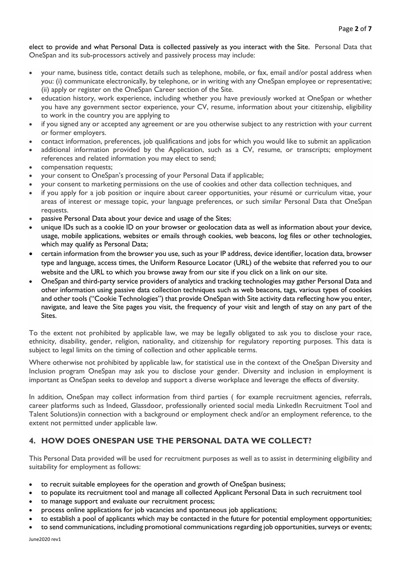elect to provide and what Personal Data is collected passively as you interact with the Site. Personal Data that OneSpan and its sub-processors actively and passively process may include:

- your name, business title, contact details such as telephone, mobile, or fax, email and/or postal address when you: (i) communicate electronically, by telephone, or in writing with any OneSpan employee or representative; (ii) apply or register on the OneSpan Career section of the Site.
- education history, work experience, including whether you have previously worked at OneSpan or whether you have any government sector experience, your CV, resume, information about your citizenship, eligibility to work in the country you are applying to
- if you signed any or accepted any agreement or are you otherwise subject to any restriction with your current or former employers.
- contact information, preferences, job qualifications and jobs for which you would like to submit an application
- additional information provided by the Application, such as a CV, resume, or transcripts; employment references and related information you may elect to send;
- compensation requests;
- your consent to OneSpan's processing of your Personal Data if applicable;
- your consent to marketing permissions on the use of cookies and other data collection techniques, and
- if you apply for a job position or inquire about career opportunities, your résumé or curriculum vitae, your areas of interest or message topic, your language preferences, or such similar Personal Data that OneSpan requests.
- passive Personal Data about your device and usage of the Sites;
- unique IDs such as a cookie ID on your browser or geolocation data as well as information about your device, usage, mobile applications, websites or emails through cookies, web beacons, log files or other technologies, which may qualify as Personal Data;
- certain information from the browser you use, such as your IP address, device identifier, location data, browser type and language, access times, the Uniform Resource Locator (URL) of the website that referred you to our website and the URL to which you browse away from our site if you click on a link on our site.
- OneSpan and third-party service providers of analytics and tracking technologies may gather Personal Data and other information using passive data collection techniques such as web beacons, tags, various types of cookies and other tools ("Cookie Technologies") that provide OneSpan with Site activity data reflecting how you enter, navigate, and leave the Site pages you visit, the frequency of your visit and length of stay on any part of the Sites.

To the extent not prohibited by applicable law, we may be legally obligated to ask you to disclose your race, ethnicity, disability, gender, religion, nationality, and citizenship for regulatory reporting purposes. This data is subject to legal limits on the timing of collection and other applicable terms.

Where otherwise not prohibited by applicable law, for statistical use in the context of the OneSpan Diversity and Inclusion program OneSpan may ask you to disclose your gender. Diversity and inclusion in employment is important as OneSpan seeks to develop and support a diverse workplace and leverage the effects of diversity.

In addition, OneSpan may collect information from third parties ( for example recruitment agencies, referrals, career platforms such as Indeed, Glassdoor, professionally oriented social media LinkedIn Recruitment Tool and Talent Solutions)in connection with a background or employment check and/or an employment reference, to the extent not permitted under applicable law.

# **4. HOW DOES ONESPAN USE THE PERSONAL DATA WE COLLECT?**

This Personal Data provided will be used for recruitment purposes as well as to assist in determining eligibility and suitability for employment as follows:

- to recruit suitable employees for the operation and growth of OneSpan business;
- to populate its recruitment tool and manage all collected Applicant Personal Data in such recruitment tool
- to manage support and evaluate our recruitment process;
- process online applications for job vacancies and spontaneous job applications;
- to establish a pool of applicants which may be contacted in the future for potential employment opportunities;
- to send communications, including promotional communications regarding job opportunities, surveys or events;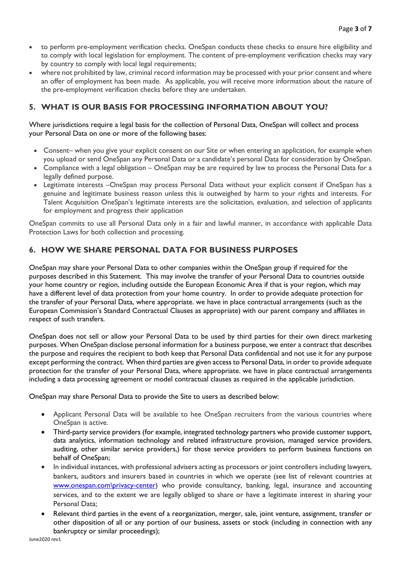- to perform pre-employment verification checks. OneSpan conducts these checks to ensure hire eligibility and to comply with local legislation for employment. The content of pre-employment verification checks may vary by country to comply with local legal requirements;
- where not prohibited by law, criminal record information may be processed with your prior consent and where an offer of employment has been made. As applicable, you will receive more information about the nature of the pre-employment verification checks before they are undertaken.

# **5. WHAT IS OUR BASIS FOR PROCESSING INFORMATION ABOUT YOU?**

Where jurisdictions require a legal basis for the collection of Personal Data, OneSpan will collect and process your Personal Data on one or more of the following bases:

- Consent– when you give your explicit consent on our Site or when entering an application, for example when you upload or send OneSpan any Personal Data or a candidate's personal Data for consideration by OneSpan.
- Compliance with a legal obligation OneSpan may be are required by law to process the Personal Data for a legally defined purpose.
- Legitimate interests –OneSpan may process Personal Data without your explicit consent if OneSpan has a genuine and legitimate business reason unless this is outweighed by harm to your rights and interests. For Talent Acquisition OneSpan's legitimate interests are the solicitation, evaluation, and selection of applicants for employment and progress their application

OneSpan commits to use all Personal Data only in a fair and lawful manner, in accordance with applicable Data Protection Laws for both collection and processing.

# **6. HOW WE SHARE PERSONAL DATA FOR BUSINESS PURPOSES**

OneSpan may share your Personal Data to other companies within the OneSpan group if required for the purposes described in this Statement. This may involve the transfer of your Personal Data to countries outside your home country or region, including outside the European Economic Area if that is your region, which may have a different level of data protection from your home country. In order to provide adequate protection for the transfer of your Personal Data, where appropriate. we have in place contractual arrangements (such as the European Commission's Standard Contractual Clauses as appropriate) with our parent company and affiliates in respect of such transfers.

OneSpan does not sell or allow your Personal Data to be used by third parties for their own direct marketing purposes. When OneSpan disclose personal information for a business purpose, we enter a contract that describes the purpose and requires the recipient to both keep that Personal Data confidential and not use it for any purpose except performing the contract. When third parties are given access to Personal Data, in order to provide adequate protection for the transfer of your Personal Data, where appropriate. we have in place contractual arrangements including a data processing agreement or model contractual clauses as required in the applicable jurisdiction.

OneSpan may share Personal Data to provide the Site to users as described below:

- Applicant Personal Data will be available to hee OneSpan recruiters from the various countries where OneSpan is active.
- Third-party service providers (for example, integrated technology partners who provide customer support, data analytics, information technology and related infrastructure provision, managed service providers, auditing, other similar service providers,) for those service providers to perform business functions on behalf of OneSpan;
- In individual instances, with professional advisers acting as processors or joint controllers including lawyers, bankers, auditors and insurers based in countries in which we operate (see list of relevant countries at [www.onespan.com\privacy-center\)](http://www.onespan.com/privacy-center) who provide consultancy, banking, legal, insurance and accounting services, and to the extent we are legally obliged to share or have a legitimate interest in sharing your Personal Data;
- Relevant third parties in the event of a reorganization, merger, sale, joint venture, assignment, transfer or other disposition of all or any portion of our business, assets or stock (including in connection with any bankruptcy or similar proceedings);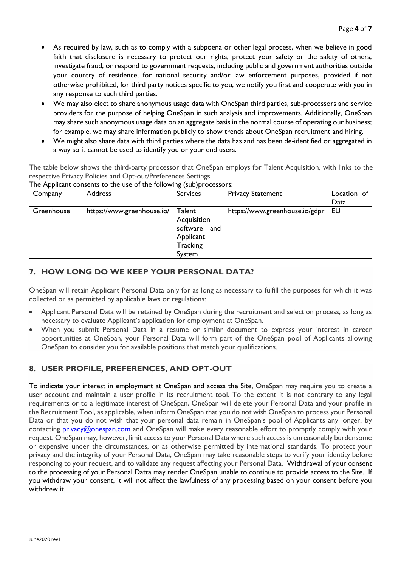- As required by law, such as to comply with a subpoena or other legal process, when we believe in good faith that disclosure is necessary to protect our rights, protect your safety or the safety of others, investigate fraud, or respond to government requests, including public and government authorities outside your country of residence, for national security and/or law enforcement purposes, provided if not otherwise prohibited, for third party notices specific to you, we notify you first and cooperate with you in any response to such third parties.
- We may also elect to share anonymous usage data with OneSpan third parties, sub-processors and service providers for the purpose of helping OneSpan in such analysis and improvements. Additionally, OneSpan may share such anonymous usage data on an aggregate basis in the normal course of operating our business; for example, we may share information publicly to show trends about OneSpan recruitment and hiring.
- We might also share data with third parties where the data has and has been de-identified or aggregated in a way so it cannot be used to identify you or your end users.

The table below shows the third-party processor that OneSpan employs for Talent Acquisition, with links to the respective Privacy Policies and Opt-out/Preferences Settings.

The Applicant consents to the use of the following (sub)processors:

| Company    | <b>Address</b>             | <b>Services</b> | <b>Privacy Statement</b>       | Location of |
|------------|----------------------------|-----------------|--------------------------------|-------------|
|            |                            |                 |                                | Data        |
| Greenhouse | https://www.greenhouse.io/ | Talent          | https://www.greenhouse.io/gdpr | <b>EU</b>   |
|            |                            | Acquisition     |                                |             |
|            |                            | software and    |                                |             |
|            |                            | Applicant       |                                |             |
|            |                            | Tracking        |                                |             |
|            |                            | System          |                                |             |

#### **7. HOW LONG DO WE KEEP YOUR PERSONAL DATA?**

OneSpan will retain Applicant Personal Data only for as long as necessary to fulfill the purposes for which it was collected or as permitted by applicable laws or regulations:

- Applicant Personal Data will be retained by OneSpan during the recruitment and selection process, as long as necessary to evaluate Applicant's application for employment at OneSpan.
- When you submit Personal Data in a resumé or similar document to express your interest in career opportunities at OneSpan, your Personal Data will form part of the OneSpan pool of Applicants allowing OneSpan to consider you for available positions that match your qualifications.

# **8. USER PROFILE, PREFERENCES, AND OPT-OUT**

To indicate your interest in employment at OneSpan and access the Site, OneSpan may require you to create a user account and maintain a user profile in its recruitment tool. To the extent it is not contrary to any legal requirements or to a legitimate interest of OneSpan, OneSpan will delete your Personal Data and your profile in the Recruitment Tool, as applicable, when inform OneSpan that you do not wish OneSpan to process your Personal Data or that you do not wish that your personal data remain in OneSpan's pool of Applicants any longer, by contacting [privacy@onespan.com](mailto:privacy@onespan.com) and OneSpan will make every reasonable effort to promptly comply with your request. OneSpan may, however, limit access to your Personal Data where such access is unreasonably burdensome or expensive under the circumstances, or as otherwise permitted by international standards. To protect your privacy and the integrity of your Personal Data, OneSpan may take reasonable steps to verify your identity before responding to your request, and to validate any request affecting your Personal Data. Withdrawal of your consent to the processing of your Personal Datta may render OneSpan unable to continue to provide access to the Site. If you withdraw your consent, it will not affect the lawfulness of any processing based on your consent before you withdrew it.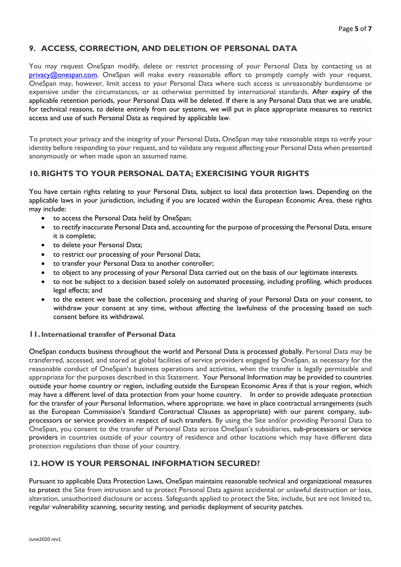#### **9. ACCESS, CORRECTION, AND DELETION OF PERSONAL DATA**

You may request OneSpan modify, delete or restrict processing of your Personal Data by contacting us at [privacy@onespan.com.](mailto:privacy@onespan.com) OneSpan will make every reasonable effort to promptly comply with your request. OneSpan may, however, limit access to your Personal Data where such access is unreasonably burdensome or expensive under the circumstances, or as otherwise permitted by international standards. After expiry of the applicable retention periods, your Personal Data will be deleted. If there is any Personal Data that we are unable, for technical reasons, to delete entirely from our systems, we will put in place appropriate measures to restrict access and use of such Personal Data as required by applicable law.

To protect your privacy and the integrity of your Personal Data, OneSpan may take reasonable steps to verify your identity before responding to your request, and to validate any request affecting your Personal Data when presented anonymously or when made upon an assumed name.

#### **10.RIGHTS TO YOUR PERSONAL DATA; EXERCISING YOUR RIGHTS**

You have certain rights relating to your Personal Data, subject to local data protection laws. Depending on the applicable laws in your jurisdiction, including if you are located within the European Economic Area, these rights may include:

- to access the Personal Data held by OneSpan;
- to rectify inaccurate Personal Data and, accounting for the purpose of processing the Personal Data, ensure it is complete;
- to delete your Personal Data;
- to restrict our processing of your Personal Data;
- to transfer your Personal Data to another controller;
- to object to any processing of your Personal Data carried out on the basis of our legitimate interests.
- to not be subject to a decision based solely on automated processing, including profiling, which produces legal effects; and
- to the extent we base the collection, processing and sharing of your Personal Data on your consent, to withdraw your consent at any time, without affecting the lawfulness of the processing based on such consent before its withdrawal.

#### **11.International transfer of Personal Data**

OneSpan conducts business throughout the world and Personal Data is processed globally. Personal Data may be transferred, accessed, and stored at global facilities of service providers engaged by OneSpan, as necessary for the reasonable conduct of OneSpan's business operations and activities, when the transfer is legally permissible and appropriate for the purposes described in this Statement. Your Personal Information may be provided to countries outside your home country or region, including outside the European Economic Area if that is your region, which may have a different level of data protection from your home country. In order to provide adequate protection for the transfer of your Personal Information, where appropriate. we have in place contractual arrangements (such as the European Commission's Standard Contractual Clauses as appropriate) with our parent company, subprocessors or service providers in respect of such transfers. By using the Site and/or providing Personal Data to OneSpan, you consent to the transfer of Personal Data across OneSpan's subsidiaries, sub-processors or service providers in countries outside of your country of residence and other locations which may have different data protection regulations than those of your country.

#### **12.HOW IS YOUR PERSONAL INFORMATION SECURED?**

Pursuant to applicable Data Protection Laws, OneSpan maintains reasonable technical and organizational measures to protect the Site from intrusion and to protect Personal Data against accidental or unlawful destruction or loss, alteration, unauthorized disclosure or access. Safeguards applied to protect the Site, include, but are not limited to, regular vulnerability scanning, security testing, and periodic deployment of security patches.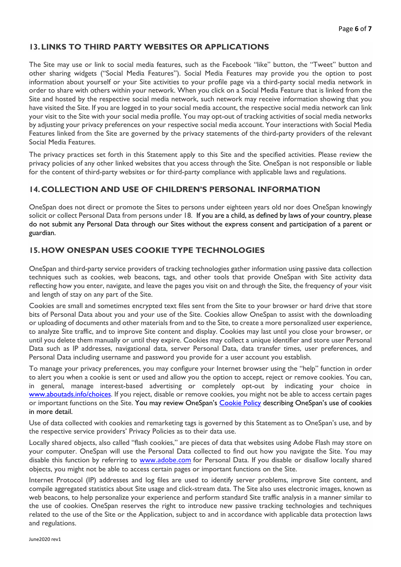#### **13.LINKS TO THIRD PARTY WEBSITES OR APPLICATIONS**

The Site may use or link to social media features, such as the Facebook "like" button, the "Tweet" button and other sharing widgets ("Social Media Features"). Social Media Features may provide you the option to post information about yourself or your Site activities to your profile page via a third-party social media network in order to share with others within your network. When you click on a Social Media Feature that is linked from the Site and hosted by the respective social media network, such network may receive information showing that you have visited the Site. If you are logged in to your social media account, the respective social media network can link your visit to the Site with your social media profile. You may opt-out of tracking activities of social media networks by adjusting your privacy preferences on your respective social media account. Your interactions with Social Media Features linked from the Site are governed by the privacy statements of the third-party providers of the relevant Social Media Features.

The privacy practices set forth in this Statement apply to this Site and the specified activities. Please review the privacy policies of any other linked websites that you access through the Site. OneSpan is not responsible or liable for the content of third-party websites or for third-party compliance with applicable laws and regulations.

# **14.COLLECTION AND USE OF CHILDREN'S PERSONAL INFORMATION**

OneSpan does not direct or promote the Sites to persons under eighteen years old nor does OneSpan knowingly solicit or collect Personal Data from persons under 18. If you are a child, as defined by laws of your country, please do not submit any Personal Data through our Sites without the express consent and participation of a parent or guardian.

#### **15.HOW ONESPAN USES COOKIE TYPE TECHNOLOGIES**

OneSpan and third-party service providers of tracking technologies gather information using passive data collection techniques such as cookies, web beacons, tags, and other tools that provide OneSpan with Site activity data reflecting how you enter, navigate, and leave the pages you visit on and through the Site, the frequency of your visit and length of stay on any part of the Site.

Cookies are small and sometimes encrypted text files sent from the Site to your browser or hard drive that store bits of Personal Data about you and your use of the Site. Cookies allow OneSpan to assist with the downloading or uploading of documents and other materials from and to the Site, to create a more personalized user experience, to analyze Site traffic, and to improve Site content and display. Cookies may last until you close your browser, or until you delete them manually or until they expire. Cookies may collect a unique identifier and store user Personal Data such as IP addresses, navigational data, server Personal Data, data transfer times, user preferences, and Personal Data including username and password you provide for a user account you establish.

To manage your privacy preferences, you may configure your Internet browser using the "help" function in order to alert you when a cookie is sent or used and allow you the option to accept, reject or remove cookies. You can, in general, manage interest-based advertising or completely opt-out by indicating your choice in [www.aboutads.info/choices.](http://optout.aboutads.info/?c=2&lang=EN) If you reject, disable or remove cookies, you might not be able to access certain pages or important functions on the Site. You may review OneSpan's [Cookie Policy](https://www.onespan.com/cookie-policy) describing OneSpan's use of cookies in more detail.

Use of data collected with cookies and remarketing tags is governed by this Statement as to OneSpan's use, and by the respective service providers' Privacy Policies as to their data use.

Locally shared objects, also called "flash cookies," are pieces of data that websites using Adobe Flash may store on your computer. OneSpan will use the Personal Data collected to find out how you navigate the Site. You may disable this function by referring to [www.adobe.com](http://www.adobe.com/) for Personal Data. If you disable or disallow locally shared objects, you might not be able to access certain pages or important functions on the Site.

Internet Protocol (IP) addresses and log files are used to identify server problems, improve Site content, and compile aggregated statistics about Site usage and click-stream data. The Site also uses electronic images, known as web beacons, to help personalize your experience and perform standard Site traffic analysis in a manner similar to the use of cookies. OneSpan reserves the right to introduce new passive tracking technologies and techniques related to the use of the Site or the Application, subject to and in accordance with applicable data protection laws and regulations.